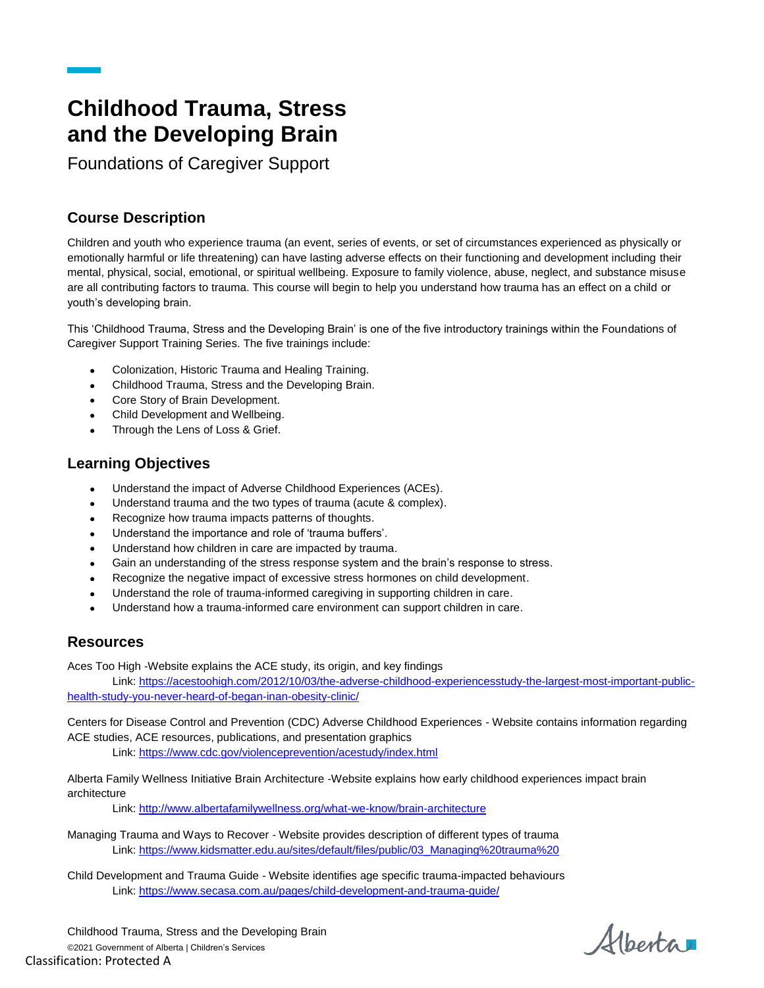## **Childhood Trauma, Stress and the Developing Brain**

Foundations of Caregiver Support

## **Course Description**

Children and youth who experience trauma (an event, series of events, or set of circumstances experienced as physically or emotionally harmful or life threatening) can have lasting adverse effects on their functioning and development including their mental, physical, social, emotional, or spiritual wellbeing. Exposure to family violence, abuse, neglect, and substance misuse are all contributing factors to trauma. This course will begin to help you understand how trauma has an effect on a child or youth's developing brain.

This 'Childhood Trauma, Stress and the Developing Brain' is one of the five introductory trainings within the Foundations of Caregiver Support Training Series. The five trainings include:

- Colonization, Historic Trauma and Healing Training.
- Childhood Trauma, Stress and the Developing Brain.
- Core Story of Brain Development.
- Child Development and Wellbeing.
- Through the Lens of Loss & Grief.

## **Learning Objectives**

- Understand the impact of Adverse Childhood Experiences (ACEs).
- Understand trauma and the two types of trauma (acute & complex).
- Recognize how trauma impacts patterns of thoughts.
- Understand the importance and role of 'trauma buffers'.
- Understand how children in care are impacted by trauma.
- Gain an understanding of the stress response system and the brain's response to stress.
- Recognize the negative impact of excessive stress hormones on child development.
- Understand the role of trauma-informed caregiving in supporting children in care.
- Understand how a trauma-informed care environment can support children in care.

## **Resources**

Aces Too High -Website explains the ACE study, its origin, and key findings

Link[: https://acestoohigh.com/2012/10/03/the-adverse-childhood-experiencesstudy-the-largest-most-important-public](https://acestoohigh.com/2012/10/03/the-adverse-childhood-experiencesstudy-the-largest-most-important-public-health-study-you-never-heard-of-began-inan-obesity-clinic/)[health-study-you-never-heard-of-began-inan-obesity-clinic/](https://acestoohigh.com/2012/10/03/the-adverse-childhood-experiencesstudy-the-largest-most-important-public-health-study-you-never-heard-of-began-inan-obesity-clinic/)

Centers for Disease Control and Prevention (CDC) Adverse Childhood Experiences - Website contains information regarding ACE studies, ACE resources, publications, and presentation graphics

Link[: https://www.cdc.gov/violenceprevention/acestudy/index.html](https://www.cdc.gov/violenceprevention/acestudy/index.html)

Alberta Family Wellness Initiative Brain Architecture -Website explains how early childhood experiences impact brain architecture

Link[: http://www.albertafamilywellness.org/what-we-know/brain-architecture](http://www.albertafamilywellness.org/what-we-know/brain-architecture)

Managing Trauma and Ways to Recover - Website provides description of different types of trauma Link[: https://www.kidsmatter.edu.au/sites/default/files/public/03\\_Managing%20trauma%20](https://www.kidsmatter.edu.au/sites/default/files/public/03_Managing%20trauma)

Child Development and Trauma Guide - Website identifies age specific trauma-impacted behaviours Link[: https://www.secasa.com.au/pages/child-development-and-trauma-guide/](https://www.secasa.com.au/pages/child-development-and-trauma-guide/)

Childhood Trauma, Stress and the Developing Brain ©2021 Government of Alberta | Children's Services Classification: Protected A

Alberta